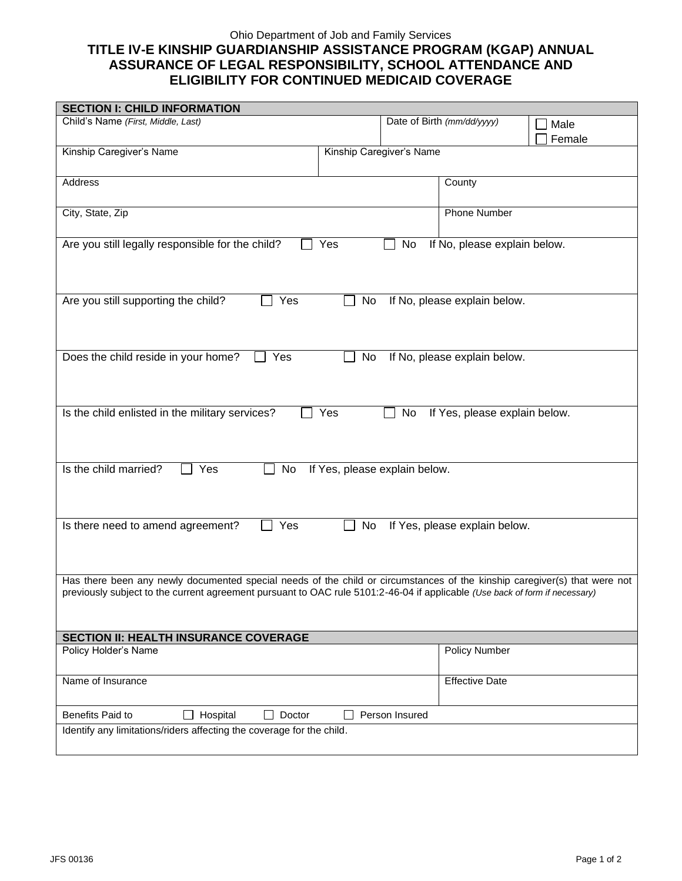## Ohio Department of Job and Family Services **TITLE IV-E KINSHIP GUARDIANSHIP ASSISTANCE PROGRAM (KGAP) ANNUAL ASSURANCE OF LEGAL RESPONSIBILITY, SCHOOL ATTENDANCE AND ELIGIBILITY FOR CONTINUED MEDICAID COVERAGE**

| <b>SECTION I: CHILD INFORMATION</b>                                                                                                                                                                                                                      |  |                          |                            |                |  |
|----------------------------------------------------------------------------------------------------------------------------------------------------------------------------------------------------------------------------------------------------------|--|--------------------------|----------------------------|----------------|--|
| Child's Name (First, Middle, Last)                                                                                                                                                                                                                       |  |                          | Date of Birth (mm/dd/yyyy) | Male<br>Female |  |
| Kinship Caregiver's Name                                                                                                                                                                                                                                 |  | Kinship Caregiver's Name |                            |                |  |
| Address                                                                                                                                                                                                                                                  |  |                          | County                     |                |  |
| City, State, Zip                                                                                                                                                                                                                                         |  |                          | <b>Phone Number</b>        |                |  |
| Are you still legally responsible for the child?<br>If No, please explain below.<br>Yes<br>No                                                                                                                                                            |  |                          |                            |                |  |
| Are you still supporting the child?<br>Yes<br>If No, please explain below.<br>No                                                                                                                                                                         |  |                          |                            |                |  |
| Does the child reside in your home?<br>$\exists$ Yes<br>No<br>If No, please explain below.                                                                                                                                                               |  |                          |                            |                |  |
| Is the child enlisted in the military services?<br>Yes<br>No<br>If Yes, please explain below.                                                                                                                                                            |  |                          |                            |                |  |
| Is the child married?<br>Yes<br>No<br>If Yes, please explain below.                                                                                                                                                                                      |  |                          |                            |                |  |
| Is there need to amend agreement?<br>Yes<br>If Yes, please explain below.<br>No                                                                                                                                                                          |  |                          |                            |                |  |
| Has there been any newly documented special needs of the child or circumstances of the kinship caregiver(s) that were not<br>previously subject to the current agreement pursuant to OAC rule 5101:2-46-04 if applicable (Use back of form if necessary) |  |                          |                            |                |  |
| <b>SECTION II: HEALTH INSURANCE COVERAGE</b>                                                                                                                                                                                                             |  |                          |                            |                |  |
| Policy Holder's Name                                                                                                                                                                                                                                     |  |                          | <b>Policy Number</b>       |                |  |
| Name of Insurance                                                                                                                                                                                                                                        |  |                          | <b>Effective Date</b>      |                |  |
| Benefits Paid to<br>Person Insured<br>Hospital<br>Doctor<br>$\mathbf{L}$                                                                                                                                                                                 |  |                          |                            |                |  |
| Identify any limitations/riders affecting the coverage for the child.                                                                                                                                                                                    |  |                          |                            |                |  |